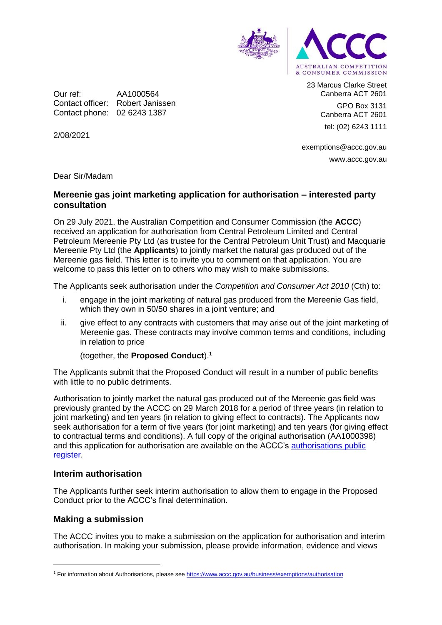

Our ref: AA1000564 Contact officer: Robert Janissen Contact phone: 02 6243 1387

23 Marcus Clarke Street Canberra ACT 2601 GPO Box 3131

> Canberra ACT 2601 tel: (02) 6243 1111

exemptions@accc.gov.au www.accc.gov.au

Dear Sir/Madam

2/08/2021

# **Mereenie gas joint marketing application for authorisation – interested party consultation**

On 29 July 2021, the Australian Competition and Consumer Commission (the **ACCC**) received an application for authorisation from Central Petroleum Limited and Central Petroleum Mereenie Pty Ltd (as trustee for the Central Petroleum Unit Trust) and Macquarie Mereenie Pty Ltd (the **Applicants**) to jointly market the natural gas produced out of the Mereenie gas field. This letter is to invite you to comment on that application. You are welcome to pass this letter on to others who may wish to make submissions.

The Applicants seek authorisation under the *Competition and Consumer Act 2010* (Cth) to:

- i. engage in the joint marketing of natural gas produced from the Mereenie Gas field, which they own in 50/50 shares in a joint venture; and
- ii. give effect to any contracts with customers that may arise out of the joint marketing of Mereenie gas. These contracts may involve common terms and conditions, including in relation to price

(together, the **Proposed Conduct**). 1

The Applicants submit that the Proposed Conduct will result in a number of public benefits with little to no public detriments.

Authorisation to jointly market the natural gas produced out of the Mereenie gas field was previously granted by the ACCC on 29 March 2018 for a period of three years (in relation to joint marketing) and ten years (in relation to giving effect to contracts). The Applicants now seek authorisation for a term of five years (for joint marketing) and ten years (for giving effect to contractual terms and conditions). A full copy of the original authorisation (AA1000398) and this application for authorisation are available on the ACCC's [authorisations public](https://www.accc.gov.au/public-registers/authorisations-and-notifications-registers/authorisations-register)  [register.](https://www.accc.gov.au/public-registers/authorisations-and-notifications-registers/authorisations-register)

### **Interim authorisation**

The Applicants further seek interim authorisation to allow them to engage in the Proposed Conduct prior to the ACCC's final determination.

### **Making a submission**

-

The ACCC invites you to make a submission on the application for authorisation and interim authorisation. In making your submission, please provide information, evidence and views

<sup>1</sup> For information about Authorisations, please se[e https://www.accc.gov.au/business/exemptions/authorisation](https://www.accc.gov.au/business/exemptions/authorisation)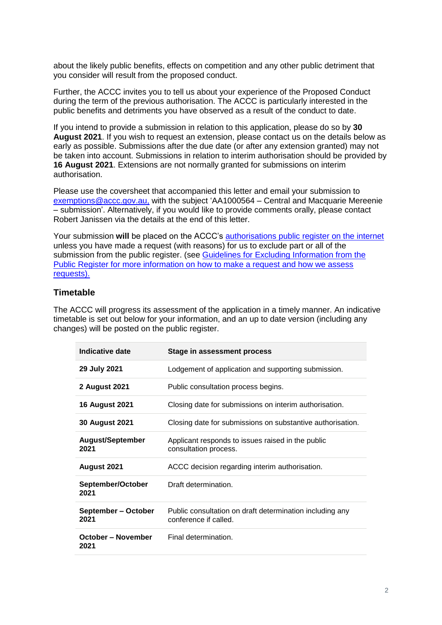about the likely public benefits, effects on competition and any other public detriment that you consider will result from the proposed conduct.

Further, the ACCC invites you to tell us about your experience of the Proposed Conduct during the term of the previous authorisation. The ACCC is particularly interested in the public benefits and detriments you have observed as a result of the conduct to date.

If you intend to provide a submission in relation to this application, please do so by **30 August 2021**. If you wish to request an extension, please contact us on the details below as early as possible. Submissions after the due date (or after any extension granted) may not be taken into account. Submissions in relation to interim authorisation should be provided by **16 August 2021**. Extensions are not normally granted for submissions on interim authorisation.

Please use the coversheet that accompanied this letter and email your submission to [exemptions@accc.gov.au,](mailto:exemptions@accc.gov.au) with the subject 'AA1000564 – Central and Macquarie Mereenie – submission'. Alternatively, if you would like to provide comments orally, please contact Robert Janissen via the details at the end of this letter.

Your submission will be placed on the ACCC's [authorisations public register](https://www.accc.gov.au/public-registers/authorisations-and-notifications-registers/authorisations-register) on the internet unless you have made a request (with reasons) for us to exclude part or all of the submission from the public register. (see Guidelines for Excluding Information from the Public Register for more information on how to make a request and how we assess [requests\).](https://www.accc.gov.au/publications/guidelines-for-excluding-information-from-the-public-register-for-authorisation-and-notification-processes)

## **Timetable**

The ACCC will progress its assessment of the application in a timely manner. An indicative timetable is set out below for your information, and an up to date version (including any changes) will be posted on the public register.

| <b>Indicative date</b>            | Stage in assessment process                                                       |
|-----------------------------------|-----------------------------------------------------------------------------------|
| 29 July 2021                      | Lodgement of application and supporting submission.                               |
| 2 August 2021                     | Public consultation process begins.                                               |
| <b>16 August 2021</b>             | Closing date for submissions on interim authorisation.                            |
| <b>30 August 2021</b>             | Closing date for submissions on substantive authorisation.                        |
| <b>August/September</b><br>2021   | Applicant responds to issues raised in the public<br>consultation process.        |
| August 2021                       | ACCC decision regarding interim authorisation.                                    |
| September/October<br>2021         | Draft determination.                                                              |
| September - October<br>2021       | Public consultation on draft determination including any<br>conference if called. |
| <b>October - November</b><br>2021 | Final determination.                                                              |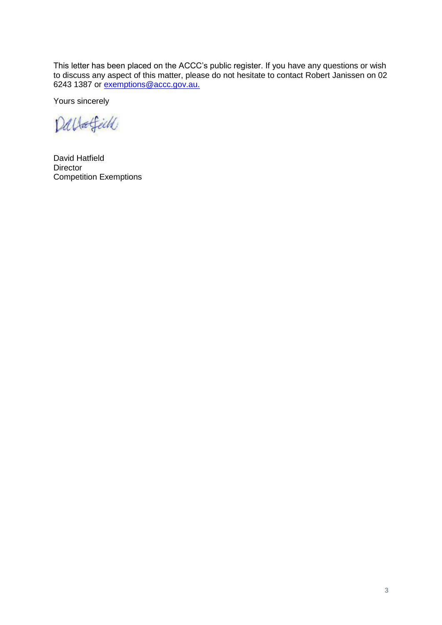This letter has been placed on the ACCC's public register. If you have any questions or wish to discuss any aspect of this matter, please do not hesitate to contact Robert Janissen on 02 6243 1387 or [exemptions@accc.gov.au.](mailto:exemptions@accc.gov.au)

Yours sincerely

Dallafield

David Hatfield **Director** Competition Exemptions